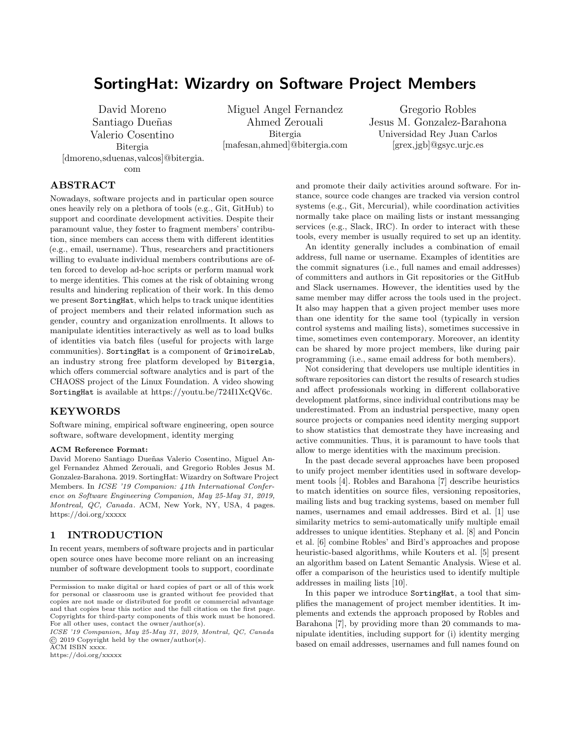# SortingHat: Wizardry on Software Project Members

David Moreno Santiago Dueñas Valerio Cosentino Bitergia [dmoreno,sduenas,valcos]@bitergia. com

Miguel Angel Fernandez Ahmed Zerouali Bitergia [mafesan,ahmed]@bitergia.com

Gregorio Robles Jesus M. Gonzalez-Barahona Universidad Rey Juan Carlos [grex,jgb]@gsyc.urjc.es

# ABSTRACT

Nowadays, software projects and in particular open source ones heavily rely on a plethora of tools (e.g., Git, GitHub) to support and coordinate development activities. Despite their paramount value, they foster to fragment members' contribution, since members can access them with different identities (e.g., email, username). Thus, researchers and practitioners willing to evaluate individual members contributions are often forced to develop ad-hoc scripts or perform manual work to merge identities. This comes at the risk of obtaining wrong results and hindering replication of their work. In this demo we present SortingHat, which helps to track unique identities of project members and their related information such as gender, country and organization enrollments. It allows to manipulate identities interactively as well as to load bulks of identities via batch files (useful for projects with large communities). SortingHat is a component of GrimoireLab, an industry strong free platform developed by Bitergia, which offers commercial software analytics and is part of the CHAOSS project of the Linux Foundation. A video showing SortingHat is available at [https://youtu.be/724I1XcQV6c.](https://youtu.be/724I1XcQV6c)

#### KEYWORDS

Software mining, empirical software engineering, open source software, software development, identity merging

#### ACM Reference Format:

David Moreno Santiago Dueñas Valerio Cosentino, Miguel Angel Fernandez Ahmed Zerouali, and Gregorio Robles Jesus M. Gonzalez-Barahona. 2019. SortingHat: Wizardry on Software Project Members. In ICSE '19 Companion: 41th International Conference on Software Engineering Companion, May 25-May 31, 2019, Montreal, QC, Canada. ACM, New York, NY, USA, [4](#page-3-0) pages. <https://doi.org/xxxxx>

# 1 INTRODUCTION

In recent years, members of software projects and in particular open source ones have become more reliant on an increasing number of software development tools to support, coordinate

ACM ISBN xxxx.

<https://doi.org/xxxxx>

and promote their daily activities around software. For instance, source code changes are tracked via version control systems (e.g., Git, Mercurial), while coordination activities normally take place on mailing lists or instant messanging services (e.g., Slack, IRC). In order to interact with these tools, every member is usually required to set up an identity.

An identity generally includes a combination of email address, full name or username. Examples of identities are the commit signatures (i.e., full names and email addresses) of committers and authors in Git repositories or the GitHub and Slack usernames. However, the identities used by the same member may differ across the tools used in the project. It also may happen that a given project member uses more than one identity for the same tool (typically in version control systems and mailing lists), sometimes successive in time, sometimes even contemporary. Moreover, an identity can be shared by more project members, like during pair programming (i.e., same email address for both members).

Not considering that developers use multiple identities in software repositories can distort the results of research studies and affect professionals working in different collaborative development platforms, since individual contributions may be underestimated. From an industrial perspective, many open source projects or companies need identity merging support to show statistics that demostrate they have increasing and active communities. Thus, it is paramount to have tools that allow to merge identities with the maximum precision.

In the past decade several approaches have been proposed to unify project member identities used in software development tools [\[4\]](#page-3-1). Robles and Barahona [\[7\]](#page-3-2) describe heuristics to match identities on source files, versioning repositories, mailing lists and bug tracking systems, based on member full names, usernames and email addresses. Bird et al. [\[1\]](#page-3-3) use similarity metrics to semi-automatically unify multiple email addresses to unique identities. Stephany et al. [\[8\]](#page-3-4) and Poncin et al. [\[6\]](#page-3-5) combine Robles' and Bird's approaches and propose heuristic-based algorithms, while Kouters et al. [\[5\]](#page-3-6) present an algorithm based on Latent Semantic Analysis. Wiese et al. offer a comparison of the heuristics used to identify multiple addresses in mailing lists [\[10\]](#page-3-7).

In this paper we introduce SortingHat, a tool that simplifies the management of project member identities. It implements and extends the approach proposed by Robles and Barahona [\[7\]](#page-3-2), by providing more than 20 commands to manipulate identities, including support for (i) identity merging based on email addresses, usernames and full names found on

Permission to make digital or hard copies of part or all of this work for personal or classroom use is granted without fee provided that copies are not made or distributed for profit or commercial advantage and that copies bear this notice and the full citation on the first page. Copyrights for third-party components of this work must be honored. For all other uses, contact the owner/author(s).

ICSE '19 Companion, May 25-May 31, 2019, Montral, QC, Canada © 2019 Copyright held by the owner/author(s).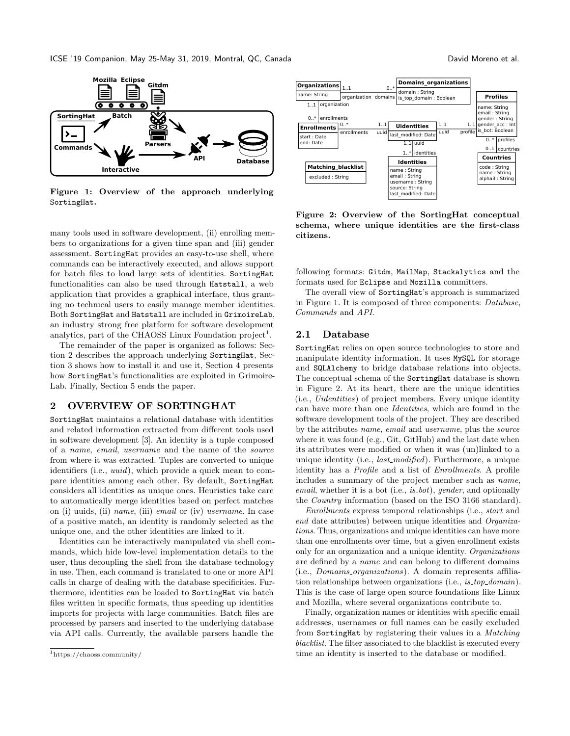ICSE '19 Companion, May 25-May 31, 2019, Montral, QC, Canada David Moreno et al.

<span id="page-1-2"></span>

Figure 1: Overview of the approach underlying SortingHat.

many tools used in software development, (ii) enrolling members to organizations for a given time span and (iii) gender assessment. SortingHat provides an easy-to-use shell, where commands can be interactively executed, and allows support for batch files to load large sets of identities. SortingHat functionalities can also be used through Hatstall, a web application that provides a graphical interface, thus granting no technical users to easily manage member identities. Both SortingHat and Hatstall are included in GrimoireLab, an industry strong free platform for software development analytics, part of the CHAOSS Linux Foundation project<sup>[1](#page-1-0)</sup>.

The remainder of the paper is organized as follows: Section [2](#page-1-1) describes the approach underlying SortingHat, Section [3](#page-2-0) shows how to install it and use it, Section [4](#page-3-8) presents how SortingHat's functionalities are exploited in Grimoire-Lab. Finally, Section [5](#page-3-9) ends the paper.

#### <span id="page-1-1"></span>2 OVERVIEW OF SORTINGHAT

SortingHat maintains a relational database with identities and related information extracted from different tools used in software development [\[3\]](#page-3-10). An identity is a tuple composed of a name, email, username and the name of the source from where it was extracted. Tuples are converted to unique identifiers (i.e., uuid), which provide a quick mean to compare identities among each other. By default, SortingHat considers all identities as unique ones. Heuristics take care to automatically merge identities based on perfect matches on (i) uuids, (ii) name, (iii) email or (iv) username. In case of a positive match, an identity is randomly selected as the unique one, and the other identities are linked to it.

Identities can be interactively manipulated via shell commands, which hide low-level implementation details to the user, thus decoupling the shell from the database technology in use. Then, each command is translated to one or more API calls in charge of dealing with the database specificities. Furthermore, identities can be loaded to SortingHat via batch files written in specific formats, thus speeding up identities imports for projects with large communities. Batch files are processed by parsers and inserted to the underlying database via API calls. Currently, the available parsers handle the

<span id="page-1-3"></span>

Figure 2: Overview of the SortingHat conceptual schema, where unique identities are the first-class citizens.

following formats: Gitdm, MailMap, Stackalytics and the formats used for Eclipse and Mozilla committers.

The overall view of SortingHat's approach is summarized in Figure [1.](#page-1-2) It is composed of three components: Database, Commands and API.

#### 2.1 Database

SortingHat relies on open source technologies to store and manipulate identity information. It uses MySQL for storage and SQLAlchemy to bridge database relations into objects. The conceptual schema of the SortingHat database is shown in Figure [2.](#page-1-3) At its heart, there are the unique identities (i.e., Uidentities) of project members. Every unique identity can have more than one Identities, which are found in the software development tools of the project. They are described by the attributes name, email and username, plus the source where it was found (e.g., Git, GitHub) and the last date when its attributes were modified or when it was (un)linked to a unique identity (i.e., *last\_modified*). Furthermore, a unique identity has a Profile and a list of Enrollments. A profile includes a summary of the project member such as name, *email*, whether it is a bot (i.e.,  $is\_bot$ ), gender, and optionally the Country information (based on the ISO 3166 standard).

Enrollments express temporal relationships (i.e., start and end date attributes) between unique identities and Organizations. Thus, organizations and unique identities can have more than one enrollments over time, but a given enrollment exists only for an organization and a unique identity. Organizations are defined by a name and can belong to different domains (i.e., Domains organizations). A domain represents affiliation relationships between organizations (i.e., is\_top\_domain). This is the case of large open source foundations like Linux and Mozilla, where several organizations contribute to.

Finally, organization names or identities with specific email addresses, usernames or full names can be easily excluded from SortingHat by registering their values in a Matching blacklist. The filter associated to the blacklist is executed every time an identity is inserted to the database or modified.

<span id="page-1-0"></span><sup>1</sup>https://chaoss.community/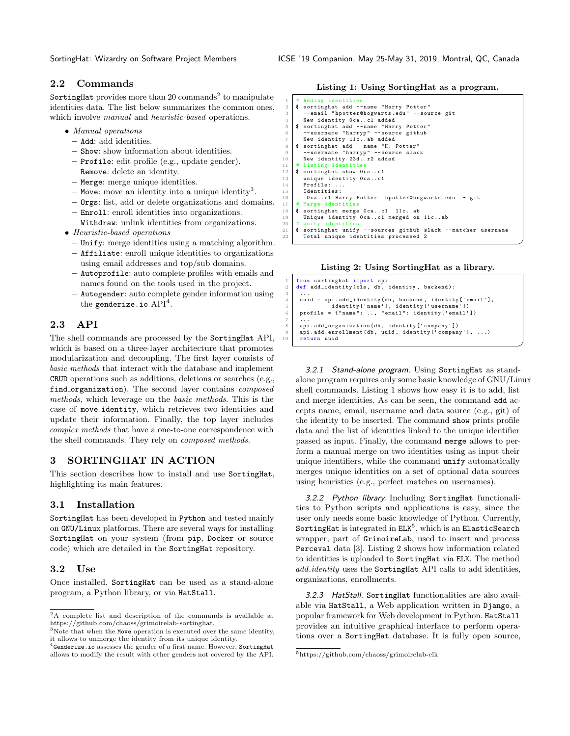### 2.2 Commands

 ${\tt SortingHat}$  provides more than  $20$  $20$  commands<sup>2</sup> to manipulate identities data. The list below summarizes the common ones, which involve *manual* and *heuristic-based* operations.

- ∙ Manual operations
	- Add: add identities.
	- Show: show information about identities.
	- Profile: edit profile (e.g., update gender).
	- Remove: delete an identity.
	- Merge: merge unique identities.
	- Move: move an identity into a unique identity<sup>[3](#page-2-2)</sup>.
	- Orgs: list, add or delete organizations and domains.
	- Enroll: enroll identities into organizations.
	- Withdraw: unlink identities from organizations.
- ∙ Heuristic-based operations
	- Unify: merge identities using a matching algorithm.
	- Affiliate: enroll unique identities to organizations using email addresses and top/sub domains.
	- Autoprofile: auto complete profiles with emails and names found on the tools used in the project.
	- Autogender: auto complete gender information using the **genderize.io**  $\mathrm{API}^4$  $\mathrm{API}^4$ .

# 2.3 API

The shell commands are processed by the SortingHat API, which is based on a three-layer architecture that promotes modularization and decoupling. The first layer consists of basic methods that interact with the database and implement CRUD operations such as additions, deletions or searches (e.g., find organization). The second layer contains *composed* methods, which leverage on the basic methods. This is the case of move identity, which retrieves two identities and update their information. Finally, the top layer includes complex methods that have a one-to-one correspondence with the shell commands. They rely on composed methods.

# <span id="page-2-0"></span>3 SORTINGHAT IN ACTION

This section describes how to install and use SortingHat, highlighting its main features.

#### 3.1 Installation

SortingHat has been developed in Python and tested mainly on GNU/Linux platforms. There are several ways for installing SortingHat on your system (from pip, Docker or source code) which are detailed in the SortingHat repository.

#### 3.2 Use

Once installed, SortingHat can be used as a stand-alone program, a Python library, or via HatStall.

<span id="page-2-4"></span>Listing 1: Using SortingHat as a program.

```
# Adding identities<br>$ sortinghat add --
            xxxxx<sub>p</sub> ----------<br>2 sortinghat add --name "Harry Potter"<br>--email "hpotter@horwarts.edu" --source git
               3 - email " hpotter@hogwarts.edu"
        New identity Oca..c1 added<br>$ sortinghat add --name "Har
  5 $ sortinghat add -- name " Harry Potter "
6 -- username " harryp " -- source github
             New identity 11c...ab added
  8 $ sortinghat add --name "H. Potter"<br>9 --username "harryp" --source slack
10 New identity 23d \ldots r2 added
11 # Listing identities<br>12 $ sortinghat show 0
\begin{array}{c|c|c|c|c} \hline \text{12} & \text{13} & \text{4} & \text{5} & \text{5} & \text{6} & \text{6} \\ \text{13} & \text{14} & \text{15} & \text{16} & \text{6} & \text{6} \\ \text{16} & \text{17} & \text{18} & \text{18} & \text{6} & \text{6} \\ \hline \end{array}unique identity Oca..c1
\begin{array}{c|c} 14 & \textbf{Profitile:} \dots \\ 15 & \textbf{Identity:} \end{array}\begin{array}{c|c} 15 & \text{Identities} \\ 16 & \text{Oca., c1 Hz} \end{array}16 0 ca..c1 Harry Potter hpotter@hogwarts.edu - git<br>17 # Merge identities
17 | # Merge identitie<br>18 | $ sortinghat merg
18 \vert $ sortinghat merge Oca..c1 11c..ab<br>19 Unique identity Oca..c1 merged on
19 Unique identity Oca..c1 merged on 11c..ab<br>20 \# Unify identities
20 \parallel # Unify identities<br>21 \parallel $ sortinghat unify
            sortinghat unify --sources github slack --matcher username
22 Total unique identities processed 2
```


✆

✆

```
from sortinghat import api
    \det add_identity (\operatorname{cls}, \operatorname{db}, identity, backend):
3 ...
      uuid = api.add_identity (db, backend, identity ['email'],
5 identity ['name '], identity ['username '])
6 profile = {" name ": .. , " email ": identity [ 'email ']}
7 ...
8 api . add_organization (db , identity [ 'company '])
9 api . add_enrollment ( db , uuid , identity [ 'company '], ...)
      return uuid
```
3.2.1 Stand-alone program. Using SortingHat as standalone program requires only some basic knowledge of GNU/Linux shell commands. Listing [1](#page-2-4) shows how easy it is to add, list and merge identities. As can be seen, the command add accepts name, email, username and data source (e.g., git) of the identity to be inserted. The command show prints profile data and the list of identities linked to the unique identifier passed as input. Finally, the command merge allows to perform a manual merge on two identities using as input their unique identifiers, while the command unify automatically merges unique identities on a set of optional data sources using heuristics (e.g., perfect matches on usernames).

3.2.2 Python library. Including SortingHat functionalities to Python scripts and applications is easy, since the user only needs some basic knowledge of Python. Currently, SortingHat is integrated in  $ELK^5$  $ELK^5$ , which is an ElasticSearch wrapper, part of GrimoireLab, used to insert and process Perceval data [\[3\]](#page-3-10). Listing [2](#page-2-6) shows how information related to identities is uploaded to SortingHat via ELK. The method add identity uses the SortingHat API calls to add identities, organizations, enrollments.

3.2.3 HatStall. SortingHat functionalities are also available via HatStall, a Web application written in Django, a popular framework for Web development in Python. HatStall provides an intuitive graphical interface to perform operations over a SortingHat database. It is fully open source,

<span id="page-2-1"></span><sup>2</sup>A complete list and description of the commands is available at [https://github.com/chaoss/grimoirelab-sortinghat.](https://github.com/chaoss/grimoirelab-sortinghat)

<span id="page-2-2"></span> $3$ Note that when the Move operation is executed over the same identity, it allows to unmerge the identity from its unique identity.

<span id="page-2-3"></span> ${}^{4}$ Genderize.io assesses the gender of a first name. However, SortingHat allows to modify the result with other genders not covered by the API.

<span id="page-2-5"></span><sup>5</sup>https://github.com/chaoss/grimoirelab-elk